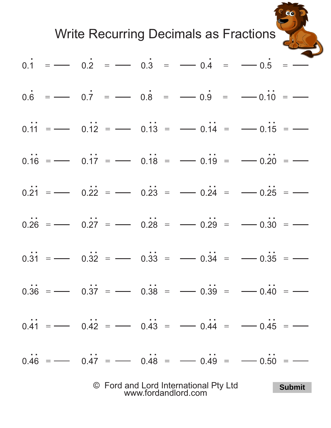